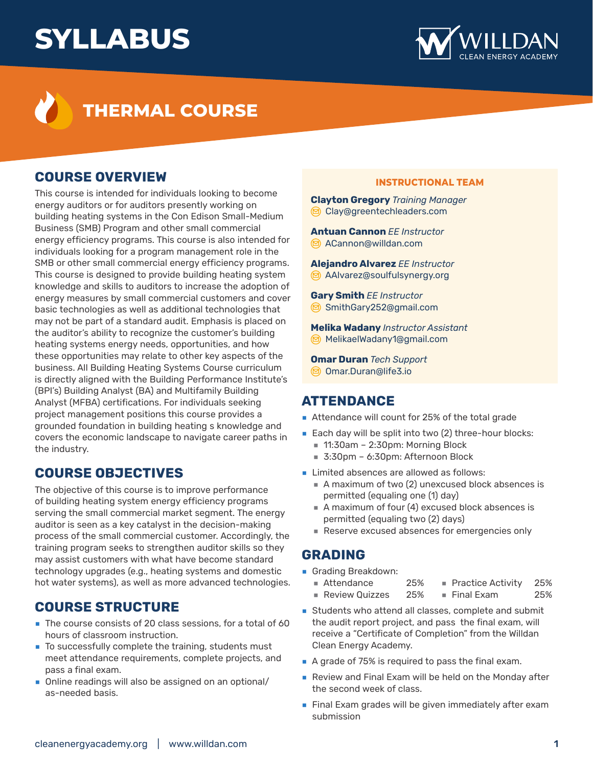# **SYLLABUS**





### **COURSE OVERVIEW**

This course is intended for individuals looking to become energy auditors or for auditors presently working on building heating systems in the Con Edison Small-Medium Business (SMB) Program and other small commercial energy efficiency programs. This course is also intended for individuals looking for a program management role in the SMB or other small commercial energy efficiency programs. This course is designed to provide building heating system knowledge and skills to auditors to increase the adoption of energy measures by small commercial customers and cover basic technologies as well as additional technologies that may not be part of a standard audit. Emphasis is placed on the auditor's ability to recognize the customer's building heating systems energy needs, opportunities, and how these opportunities may relate to other key aspects of the business. All Building Heating Systems Course curriculum is directly aligned with the Building Performance Institute's (BPI's) Building Analyst (BA) and Multifamily Building Analyst (MFBA) certifications. For individuals seeking project management positions this course provides a grounded foundation in building heating s knowledge and covers the economic landscape to navigate career paths in the industry.

## **COURSE OBJECTIVES**

The objective of this course is to improve performance of building heating system energy efficiency programs serving the small commercial market segment. The energy auditor is seen as a key catalyst in the decision-making process of the small commercial customer. Accordingly, the training program seeks to strengthen auditor skills so they may assist customers with what have become standard technology upgrades (e.g., heating systems and domestic hot water systems), as well as more advanced technologies.

#### **COURSE STRUCTURE**

- The course consists of 20 class sessions, for a total of 60 hours of classroom instruction.
- To successfully complete the training, students must meet attendance requirements, complete projects, and pass a final exam.
- Online readings will also be assigned on an optional/ as-needed basis.

#### **INSTRUCTIONAL TEAM**

**Clayton Gregory** *Training Manager* [Clay@greentechleaders.com](mailto:Clay%40greentechleaders.com?subject=)

**Antuan Cannon** *EE Instructor* [ACannon@willdan.com](mailto:ACannon%40willdan.com?subject=)

**Alejandro Alvarez** *EE Instructor* [AAlvarez@soulfulsynergy.org](mailto:AAlvarez%40soulfulsynergy.org?subject=)

**Gary Smith** *EE Instructor* [SmithGary252@gmail.com](mailto:SmithGary252%40gmail.com?subject=)

**Melika Wadany** *Instructor Assistant* [MelikaelWadany1@gmail.com](mailto:MelikaelWadany1%40gmail.com?subject=)

**Omar Duran** *Tech Support* [Omar.Duran@life3.io](mailto:Omar.Duran%40life3.io?subject=)

#### **ATTENDANCE**

- Attendance will count for 25% of the total grade
- Each day will be split into two (2) three-hour blocks:
	- **■** 11:30am 2:30pm: Morning Block
	- **■** 3:30pm 6:30pm: Afternoon Block
- Limited absences are allowed as follows:
	- A maximum of two (2) unexcused block absences is permitted (equaling one (1) day)
	- A maximum of four (4) excused block absences is permitted (equaling two (2) days)
	- Reserve excused absences for emergencies only

#### **GRADING**

- **■** Grading Breakdown:
	- Attendance 25%  **■** Practice Activity 25%
	- **■** Review Quizzes 25%  **■** Final Exam 25%
- Students who attend all classes, complete and submit the audit report project, and pass the final exam, will receive a "Certificate of Completion" from the Willdan Clean Energy Academy.
- A grade of 75% is required to pass the final exam.
- Review and Final Exam will be held on the Monday after the second week of class.
- Final Exam grades will be given immediately after exam submission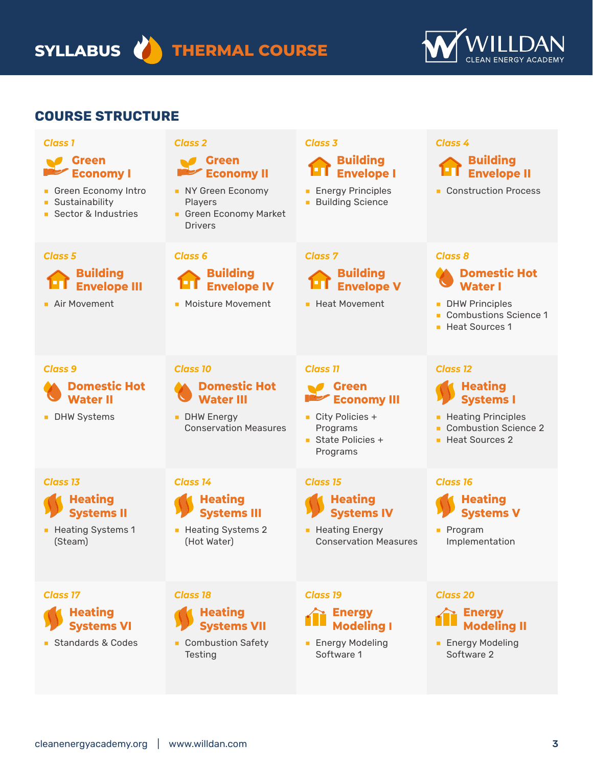**SYLLABUS THERMAL COURSE**



## **COURSE STRUCTURE**

| <b>Class 1</b>                                                                                     | <b>Class 2</b>                                                                                           | <b>Class 3</b>                                                                                                               | <b>Class 4</b>                                                                                                                      |
|----------------------------------------------------------------------------------------------------|----------------------------------------------------------------------------------------------------------|------------------------------------------------------------------------------------------------------------------------------|-------------------------------------------------------------------------------------------------------------------------------------|
| <b>Green</b><br><b>Economy I</b><br>Green Economy Intro<br>• Sustainability<br>Sector & Industries | Green<br><b>Economy II</b><br>NY Green Economy<br>Players<br>Green Economy Market<br><b>Drivers</b>      | <b>Building</b><br><b>Envelope I</b><br><b>Energy Principles</b><br><b>Building Science</b>                                  | <b>Building</b><br><b>Envelope II</b><br>• Construction Process                                                                     |
| <b>Class 5</b><br><b>Building</b><br><b>Envelope III</b><br><b>Air Movement</b>                    | <b>Class 6</b><br><b>Building</b><br><b>Envelope IV</b><br>• Moisture Movement                           | <b>Class 7</b><br><b>Building</b><br><b>Envelope V</b><br><b>Heat Movement</b>                                               | <b>Class 8</b><br><b>Domestic Hot</b><br><b>Water</b><br><b>DHW Principles</b><br><b>Combustions Science 1</b><br>Heat Sources 1    |
| <b>Class 9</b><br><b>Domestic Hot</b><br><b>Water II</b><br><b>DHW Systems</b>                     | <b>Class 10</b><br><b>Domestic Hot</b><br><b>Water III</b><br>DHW Energy<br><b>Conservation Measures</b> | <b>Class 11</b><br>Green<br><b>Economy III</b><br>$\blacksquare$ City Policies +<br>Programs<br>State Policies +<br>Programs | <b>Class 12</b><br><b>Heating</b><br><b>Systems I</b><br><b>Heating Principles</b><br><b>Combustion Science 2</b><br>Heat Sources 2 |
| <b>Class 13</b><br><b>Heating</b><br><b>Systems II</b><br>• Heating Systems 1<br>(Steam)           | <b>Class 14</b><br><b>Heating</b><br><b>Systems III</b><br>• Heating Systems 2<br>(Hot Water)            | <b>Class 15</b><br><b>Heating</b><br><b>Systems IV</b><br>• Heating Energy<br><b>Conservation Measures</b>                   | <b>Class 16</b><br><b>Heating</b><br><b>Systems V</b><br><b>Program</b><br>Implementation                                           |
| <b>Class 17</b><br><b>Heating</b><br><b>Systems VI</b><br>Standards & Codes                        | <b>Class 18</b><br><b>Heating</b><br><b>Systems VII</b><br>• Combustion Safety<br>Testing                | <b>Class 19</b><br><b>Energy</b><br><b>Modeling I</b><br><b>Energy Modeling</b><br>Software 1                                | <b>Class 20</b><br><b>Energy</b><br><b>Modeling II</b><br><b>Energy Modeling</b><br>Software 2                                      |